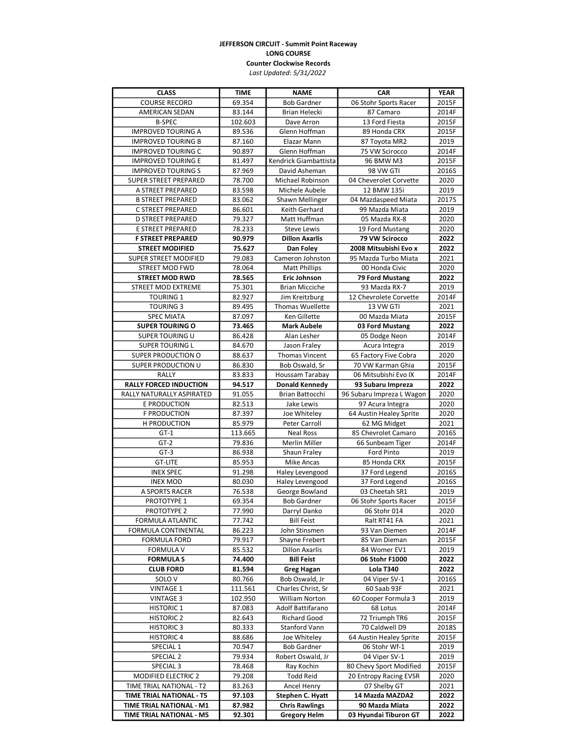## **JEFFERSON CIRCUIT - Summit Point Raceway LONG COURSE Counter Clockwise Records**

*Last Updated: 5/31/2022*

| <b>CLASS</b>                           | <b>TIME</b>        | <b>NAME</b>                                | <b>CAR</b>                         | <b>YEAR</b>    |
|----------------------------------------|--------------------|--------------------------------------------|------------------------------------|----------------|
| <b>COURSE RECORD</b>                   | 69.354             | <b>Bob Gardner</b>                         | 06 Stohr Sports Racer              | 2015F          |
| AMERICAN SEDAN                         | 83.144             | Brian Helecki                              | 87 Camaro                          | 2014F          |
| <b>B-SPEC</b>                          | 102.603            | Dave Arron                                 | 13 Ford Fiesta                     | 2015F          |
| <b>IMPROVED TOURING A</b>              | 89.536             | Glenn Hoffman                              | 89 Honda CRX                       | 2015F          |
| <b>IMPROVED TOURING B</b>              | 87.160             | Elazar Mann                                | 87 Toyota MR2                      | 2019           |
| <b>IMPROVED TOURING C</b>              | 90.897             | Glenn Hoffman                              | 75 VW Scirocco                     | 2014F          |
| <b>IMPROVED TOURING E</b>              | 81.497             | Kendrick Giambattista                      | 96 BMW M3                          | 2015F          |
| <b>IMPROVED TOURING S</b>              | 87.969             | David Asheman                              | 98 VW GTI                          | 2016S          |
| <b>SUPER STREET PREPARED</b>           | 78.700             | <b>Michael Robinson</b>                    | 04 Cheverolet Corvette             | 2020           |
| A STREET PREPARED                      | 83.598             | Michele Aubele                             | 12 BMW 135i                        | 2019           |
| <b>B STREET PREPARED</b>               | 83.062             | Shawn Mellinger                            | 04 Mazdaspeed Miata                | 2017S          |
| C STREET PREPARED                      | 86.601             | Keith Gerhard                              | 99 Mazda Miata                     | 2019           |
| D STREET PREPARED                      | 79.327             | Matt Huffman                               | 05 Mazda RX-8                      | 2020           |
| E STREET PREPARED                      | 78.233             | <b>Steve Lewis</b>                         | 19 Ford Mustang                    | 2020           |
| <b>F STREET PREPARED</b>               | 90.979             | <b>Dillon Axarlis</b>                      | 79 VW Scirocco                     | 2022           |
| <b>STREET MODIFIED</b>                 | 75.627             | Dan Foley                                  | 2008 Mitsubishi Evo x              | 2022           |
| <b>SUPER STREET MODIFIED</b>           | 79.083             | Cameron Johnston                           | 95 Mazda Turbo Miata               | 2021           |
| <b>STREET MOD FWD</b>                  | 78.064             | <b>Matt Phillips</b>                       | 00 Honda Civic                     | 2020           |
| <b>STREET MOD RWD</b>                  | 78.565             | <b>Eric Johnson</b>                        | 79 Ford Mustang                    | 2022           |
| STREET MOD EXTREME                     | 75.301             | <b>Brian Micciche</b>                      | 93 Mazda RX-7                      | 2019           |
| <b>TOURING 1</b>                       | 82.927             | Jim Kreitzburg                             | 12 Chevrolete Corvette             | 2014F          |
| <b>TOURING 3</b>                       | 89.495             | <b>Thomas Wuellette</b>                    | 13 VW GTI                          | 2021           |
| <b>SPEC MIATA</b>                      | 87.097             | Ken Gillette                               | 00 Mazda Miata                     | 2015F          |
| <b>SUPER TOURING O</b>                 | 73.465             | <b>Mark Aubele</b>                         | 03 Ford Mustang                    | 2022           |
| <b>SUPER TOURING U</b>                 | 86.428             | Alan Lesher                                | 05 Dodge Neon                      | 2014F          |
| <b>SUPER TOURING L</b>                 | 84.670             | Jason Fraley                               | Acura Integra                      | 2019           |
| <b>SUPER PRODUCTION O</b>              | 88.637             | Thomas Vincent                             | 65 Factory Five Cobra              | 2020           |
| SUPER PRODUCTION U                     | 86.830             | Bob Oswald, Sr                             | 70 VW Karman Ghia                  | 2015F          |
| RALLY                                  | 83.833             | Houssam Tarabay                            | 06 Mitsubishi Evo IX               | 2014F          |
| <b>RALLY FORCED INDUCTION</b>          | 94.517             | <b>Donald Kennedy</b>                      | 93 Subaru Impreza                  | 2022           |
| RALLY NATURALLY ASPIRATED              | 91.055             | Brian Battocchi                            | 96 Subaru Impreza L Wagon          | 2020           |
| <b>E PRODUCTION</b>                    | 82.513             | Jake Lewis                                 | 97 Acura Integra                   | 2020           |
| <b>F PRODUCTION</b>                    | 87.397             | Joe Whiteley                               | 64 Austin Healey Sprite            | 2020           |
| H PRODUCTION                           | 85.979             | Peter Carroll                              | 62 MG Midget                       | 2021           |
| $GT-1$                                 | 113.665            | <b>Neal Ross</b>                           | 85 Chevrolet Camaro                | 2016S          |
| $GT-2$                                 | 79.836             | Merlin Miller                              | 66 Sunbeam Tiger                   | 2014F          |
| $GT-3$                                 | 86.938             | Shaun Fraley                               | Ford Pinto                         | 2019           |
| <b>GT-LITE</b>                         | 85.953             | <b>Mike Ancas</b>                          | 85 Honda CRX                       | 2015F          |
| <b>INEX SPEC</b>                       | 91.298             | Haley Levengood                            | 37 Ford Legend                     | 2016S          |
| <b>INEX MOD</b>                        | 80.030             | Haley Levengood                            | 37 Ford Legend                     | 2016S          |
| A SPORTS RACER                         | 76.538             | George Bowland                             | 03 Cheetah SR1                     | 2019           |
| PROTOTYPE 1                            | 69.354             | <b>Bob Gardner</b>                         | 06 Stohr Sports Racer              | 2015F          |
| PROTOTYPE 2                            | 77.990             | Darryl Danko                               | 06 Stohr 014                       | 2020           |
| FORMULA ATLANTIC                       | 77.742             | <b>Bill Feist</b>                          | Ralt RT41 FA                       | 2021           |
| FORMULA CONTINENTAL                    | 86.223             | John Stinsmen                              | 93 Van Diemen                      | 2014F          |
| <b>FORMULA FORD</b>                    | 79.917             | Shayne Frebert                             | 85 Van Dieman                      | 2015F          |
| <b>FORMULA V</b>                       | 85.532             | <b>Dillon Axarlis</b><br><b>Bill Feist</b> | 84 Womer EV1                       | 2019           |
| <b>FORMULAS</b>                        | 74.400             |                                            | 06 Stohr F1000                     | 2022           |
| <b>CLUB FORD</b><br>SOLO <sub>V</sub>  | 81.594<br>80.766   | Greg Hagan<br>Bob Oswald, Jr               | Lola T340<br>04 Viper SV-1         | 2022           |
|                                        |                    |                                            |                                    | 2016S          |
| <b>VINTAGE 1</b><br><b>VINTAGE 3</b>   | 111.561<br>102.950 | Charles Christ, Sr<br>William Norton       | 60 Saab 93F<br>60 Cooper Formula 3 | 2021<br>2019   |
|                                        |                    | Adolf Battifarano                          | 68 Lotus                           |                |
| <b>HISTORIC 1</b><br><b>HISTORIC 2</b> | 87.083<br>82.643   | Richard Good                               | 72 Triumph TR6                     | 2014F<br>2015F |
| <b>HISTORIC 3</b>                      | 80.333             | Stanford Vann                              | 70 Caldwell D9                     | 2018S          |
| <b>HISTORIC4</b>                       | 88.686             | Joe Whiteley                               | 64 Austin Healey Sprite            | 2015F          |
| SPECIAL 1                              | 70.947             | <b>Bob Gardner</b>                         | 06 Stohr Wf-1                      | 2019           |
| SPECIAL 2                              | 79.934             | Robert Oswald, Jr                          | 04 Viper SV-1                      | 2019           |
| SPECIAL 3                              | 78.468             | Ray Kochin                                 | 80 Chevy Sport Modified            | 2015F          |
| <b>MODIFIED ELECTRIC 2</b>             | 79.208             | <b>Todd Reid</b>                           | 20 Entropy Racing EVSR             | 2020           |
| TIME TRIAL NATIONAL - T2               | 83.263             | Ancel Henry                                | 07 Shelby GT                       | 2021           |
| TIME TRIAL NATIONAL - T5               | 97.103             | Stephen C. Hyatt                           | 14 Mazda MAZDA2                    | 2022           |
| TIME TRIAL NATIONAL - M1               | 87.982             | <b>Chris Rawlings</b>                      | 90 Mazda Miata                     | 2022           |
| TIME TRIAL NATIONAL - M5               | 92.301             | <b>Gregory Helm</b>                        | 03 Hyundai Tiburon GT              | 2022           |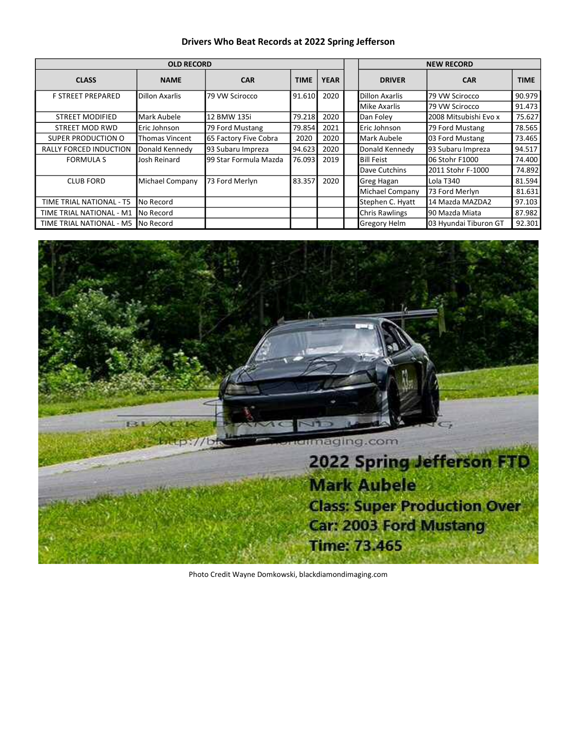### **Drivers Who Beat Records at 2022 Spring Jefferson**

|                                 | <b>OLD RECORD</b>     |                       | <b>NEW RECORD</b> |             |                       |                       |             |
|---------------------------------|-----------------------|-----------------------|-------------------|-------------|-----------------------|-----------------------|-------------|
| <b>CLASS</b>                    | <b>NAME</b>           | <b>CAR</b>            | <b>TIME</b>       | <b>YEAR</b> | <b>DRIVER</b>         | <b>CAR</b>            | <b>TIME</b> |
| <b>F STREET PREPARED</b>        | Dillon Axarlis        | 79 VW Scirocco        | 91.610            | 2020        | Dillon Axarlis        | 79 VW Scirocco        | 90.979      |
|                                 |                       |                       |                   |             | Mike Axarlis          | 79 VW Scirocco        | 91.473      |
| <b>STREET MODIFIED</b>          | Mark Aubele           | 12 BMW 135i           | 79.218            | 2020        | Dan Folev             | 2008 Mitsubishi Evo x | 75.627      |
| <b>STREET MOD RWD</b>           | Eric Johnson          | 79 Ford Mustang       | 79.854            | 2021        | Eric Johnson          | 79 Ford Mustang       | 78.565      |
| SUPER PRODUCTION O              | <b>Thomas Vincent</b> | 65 Factory Five Cobra | 2020              | 2020        | Mark Aubele           | 03 Ford Mustang       | 73.465      |
| <b>RALLY FORCED INDUCTION</b>   | Donald Kennedy        | 93 Subaru Impreza     | 94.623            | 2020        | Donald Kennedy        | 93 Subaru Impreza     | 94.517      |
| <b>FORMULA S</b>                | Josh Reinard          | 99 Star Formula Mazda | 76.093            | 2019        | Bill Feist            | 06 Stohr F1000        | 74.400      |
|                                 |                       |                       |                   |             | Dave Cutchins         | 2011 Stohr F-1000     | 74.892      |
| <b>CLUB FORD</b>                | Michael Company       | 73 Ford Merlyn        | 83.357            | 2020        | Greg Hagan            | Lola T340             | 81.594      |
|                                 |                       |                       |                   |             | Michael Company       | 73 Ford Merlyn        | 81.631      |
| TIME TRIAL NATIONAL - T5        | No Record             |                       |                   |             | Stephen C. Hyatt      | 14 Mazda MAZDA2       | 97.103      |
| <b>TIME TRIAL NATIONAL - M1</b> | No Record             |                       |                   |             | <b>Chris Rawlings</b> | 90 Mazda Miata        | 87.982      |
| TIME TRIAL NATIONAL - M5        | <b>No Record</b>      |                       |                   |             | Gregory Helm          | 03 Hyundai Tiburon GT | 92.301      |



Photo Credit Wayne Domkowski, blackdiamondimaging.com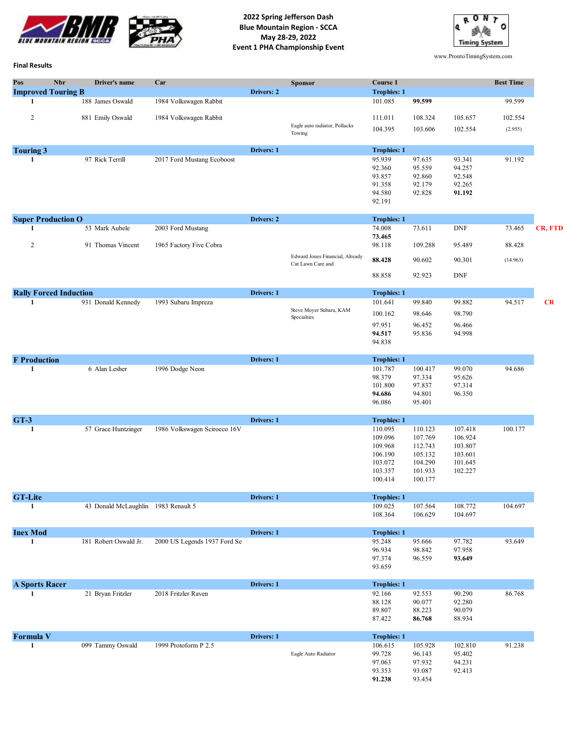

**2022 Spring Jefferson Dash Blue Mountain Region - SCCA May 28-29, 2022 Event 1 PHA Championship Event**



www.ProntoTimingSystem.com

#### **Final Results**

| Pos                   | <b>Nbr</b><br>Driver's name<br><b>Improved Touring B</b> | Car                          | Drivers: 2 | <b>Sponsor</b>                                       | Course 1<br><b>Trophies: 1</b>                                            |                                                                           |                                                                | <b>Best Time</b> |         |
|-----------------------|----------------------------------------------------------|------------------------------|------------|------------------------------------------------------|---------------------------------------------------------------------------|---------------------------------------------------------------------------|----------------------------------------------------------------|------------------|---------|
| 1                     | 188 James Oswald                                         | 1984 Volkswagen Rabbit       |            |                                                      | 101.085                                                                   | 99.599                                                                    |                                                                | 99.599           |         |
| $\overline{c}$        | 881 Emily Oswald                                         | 1984 Volkswagen Rabbit       |            |                                                      | 111.011                                                                   | 108.324                                                                   | 105.657                                                        | 102.554          |         |
|                       |                                                          |                              |            | Eagle auto radiator, Pollacks<br>Towing              | 104.395                                                                   | 103.606                                                                   | 102.554                                                        | (2.955)          |         |
| <b>Touring 3</b>      |                                                          |                              | Drivers: 1 |                                                      | <b>Trophies: 1</b>                                                        |                                                                           |                                                                |                  |         |
| 1                     | 97 Rick Terrill                                          | 2017 Ford Mustang Ecoboost   |            |                                                      | 95.939<br>92.360<br>93.857<br>91.358<br>94.580<br>92.191                  | 97.635<br>95.559<br>92.860<br>92.179<br>92.828                            | 93.341<br>94.257<br>92.548<br>92.265<br>91.192                 | 91.192           |         |
|                       | <b>Super Production O</b>                                |                              | Drivers: 2 |                                                      | <b>Trophies: 1</b>                                                        |                                                                           |                                                                |                  |         |
| 1                     | 53 Mark Aubele                                           | 2003 Ford Mustang            |            |                                                      | 74.008<br>73.465                                                          | 73.611                                                                    | <b>DNF</b>                                                     | 73.465           | CR, FTD |
| $\overline{c}$        | 91 Thomas Vincent                                        | 1965 Factory Five Cobra      |            |                                                      | 98.118                                                                    | 109.288                                                                   | 95.489                                                         | 88.428           |         |
|                       |                                                          |                              |            | Edward Jones Financial, Already<br>Cut Lawn Care and | 88.428                                                                    | 90.602                                                                    | 90.301                                                         | (14.963)         |         |
|                       |                                                          |                              |            |                                                      | 88.858                                                                    | 92.923                                                                    | <b>DNF</b>                                                     |                  |         |
|                       | <b>Rally Forced Induction</b>                            |                              | Drivers: 1 |                                                      | <b>Trophies: 1</b>                                                        |                                                                           |                                                                |                  |         |
| 1                     | 931 Donald Kennedy                                       | 1993 Subaru Impreza          |            | Steve Moyer Subaru, KAM                              | 101.641                                                                   | 99.840                                                                    | 99.882                                                         | 94.517           | CR      |
|                       |                                                          |                              |            | Specialties                                          | 100.162                                                                   | 98.646                                                                    | 98.790                                                         |                  |         |
|                       |                                                          |                              |            |                                                      | 97.951<br>94.517<br>94.838                                                | 96.452<br>95.836                                                          | 96.466<br>94.998                                               |                  |         |
| <b>F</b> Production   |                                                          |                              | Drivers: 1 |                                                      | <b>Trophies: 1</b>                                                        |                                                                           |                                                                |                  |         |
| 1                     | 6 Alan Lesher                                            | 1996 Dodge Neon              |            |                                                      | 101.787<br>98.379<br>101.800<br>94.686<br>96.086                          | 100.417<br>97.334<br>97.837<br>94.801<br>95.401                           | 99.070<br>95.626<br>97.314<br>96.350                           | 94.686           |         |
| $GT-3$                |                                                          |                              | Drivers: 1 |                                                      | <b>Trophies: 1</b>                                                        |                                                                           |                                                                |                  |         |
| 1                     | 57 Grace Huntzinger                                      | 1986 Volkswagen Scirocco 16V |            |                                                      | 110.095<br>109.096<br>109.968<br>106.190<br>103.072<br>103.357<br>100.414 | 110.123<br>107.769<br>112.743<br>105.132<br>104.290<br>101.933<br>100.177 | 107.418<br>106.924<br>103.807<br>103.601<br>101.645<br>102.227 | 100.177          |         |
| <b>GT-Lite</b>        |                                                          |                              | Drivers: 1 |                                                      | <b>Trophies: 1</b>                                                        |                                                                           |                                                                |                  |         |
| 1                     | 43 Donald McLaughlin 1983 Renault 5                      |                              |            |                                                      | 109.025<br>108.364                                                        | 107.564<br>106.629                                                        | 108.772<br>104.697                                             | 104.697          |         |
| <b>Inex Mod</b><br>1  | 181 Robert Oswald Jr.                                    | 2000 US Legends 1937 Ford Se | Drivers: 1 |                                                      | <b>Trophies: 1</b><br>95.248<br>96.934<br>97.374<br>93.659                | 95.666<br>98.842<br>96.559                                                | 97.782<br>97.958<br>93.649                                     | 93.649           |         |
| <b>A Sports Racer</b> |                                                          |                              | Drivers: 1 |                                                      | <b>Trophies: 1</b>                                                        |                                                                           |                                                                |                  |         |
| 1                     | 21 Bryan Fritzler                                        | 2018 Fritzler Raven          |            |                                                      | 92.166<br>88.128<br>89.807<br>87.422                                      | 92.553<br>90.077<br>88.223<br>86.768                                      | 90.290<br>92.280<br>90.079<br>88.934                           | 86.768           |         |
| <b>Formula V</b>      |                                                          |                              | Drivers: 1 |                                                      | <b>Trophies: 1</b>                                                        |                                                                           |                                                                |                  |         |
| $\mathbf{1}$          | 099 Tammy Oswald                                         | 1999 Protoform P 2.5         |            | Eagle Auto Radiator                                  | 106.615<br>99.728<br>97.063<br>93.353<br>91.238                           | 105.928<br>96.143<br>97.932<br>93.087<br>93.454                           | 102.810<br>95.402<br>94.231<br>92.413                          | 91.238           |         |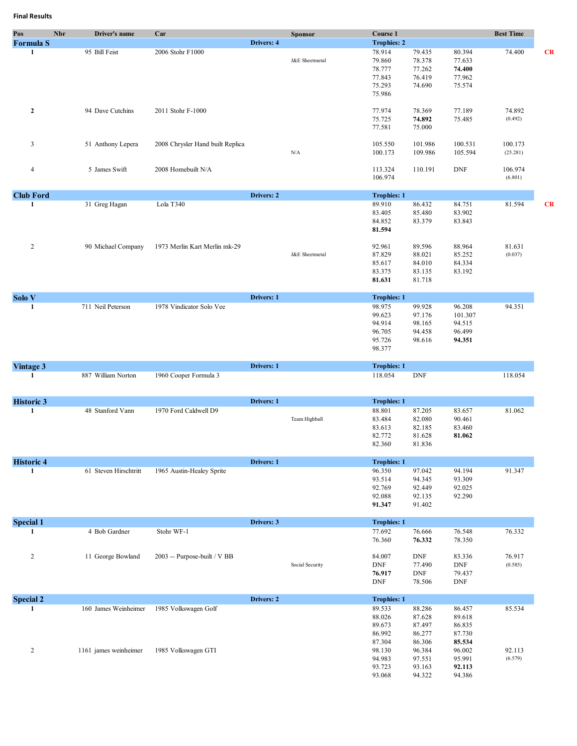| Pos<br><b>Formula S</b> | <b>Nbr</b><br>Driver's name                   | Car                                         | Drivers: 4 | <b>Sponsor</b>  | Course 1<br><b>Trophies: 2</b>                           |                                                          |                                                          | <b>Best Time</b>    |           |
|-------------------------|-----------------------------------------------|---------------------------------------------|------------|-----------------|----------------------------------------------------------|----------------------------------------------------------|----------------------------------------------------------|---------------------|-----------|
| 1                       | 95 Bill Feist                                 | 2006 Stohr F1000                            |            | J&E Sheetmetal  | 78.914<br>79.860<br>78.777<br>77.843<br>75.293<br>75.986 | 79.435<br>78.378<br>77.262<br>76.419<br>74.690           | 80.394<br>77.633<br>74.400<br>77.962<br>75.574           | 74.400              | <b>CR</b> |
| $\mathbf{2}$            | 94 Dave Cutchins                              | 2011 Stohr F-1000                           |            |                 | 77.974<br>75.725<br>77.581                               | 78.369<br>74.892<br>75.000                               | 77.189<br>75.485                                         | 74.892<br>(0.492)   |           |
| 3                       | 51 Anthony Lepera                             | 2008 Chrysler Hand built Replica            |            | ${\rm N/A}$     | 105.550<br>100.173                                       | 101.986<br>109.986                                       | 100.531<br>105.594                                       | 100.173<br>(25.281) |           |
| $\overline{4}$          | 5 James Swift                                 | 2008 Homebuilt N/A                          |            |                 | 113.324<br>106.974                                       | 110.191                                                  | <b>DNF</b>                                               | 106.974<br>(6.801)  |           |
| <b>Club Ford</b>        |                                               |                                             | Drivers: 2 |                 | <b>Trophies: 1</b>                                       |                                                          |                                                          |                     |           |
| $\mathbf{1}$            | 31 Greg Hagan                                 | Lola T340                                   |            |                 | 89.910<br>83.405<br>84.852<br>81.594                     | 86.432<br>85.480<br>83.379                               | 84.751<br>83.902<br>83.843                               | 81.594              | <b>CR</b> |
| $\overline{c}$          | 90 Michael Company                            | 1973 Merlin Kart Merlin mk-29               |            | J&E Sheetmetal  | 92.961<br>87.829<br>85.617<br>83.375<br>81.631           | 89.596<br>88.021<br>84.010<br>83.135<br>81.718           | 88.964<br>85.252<br>84.334<br>83.192                     | 81.631<br>(0.037)   |           |
| Solo V                  |                                               |                                             | Drivers: 1 |                 | <b>Trophies: 1</b>                                       |                                                          |                                                          |                     |           |
| $\mathbf{1}$            | 711 Neil Peterson                             | 1978 Vindicator Solo Vee                    |            |                 | 98.975<br>99.623<br>94.914<br>96.705<br>95.726<br>98.377 | 99.928<br>97.176<br>98.165<br>94.458<br>98.616           | 96.208<br>101.307<br>94.515<br>96.499<br>94.351          | 94.351              |           |
| <b>Vintage 3</b>        |                                               |                                             | Drivers: 1 |                 | <b>Trophies: 1</b>                                       |                                                          |                                                          |                     |           |
| 1                       | 887 William Norton                            | 1960 Cooper Formula 3                       |            |                 | 118.054                                                  | <b>DNF</b>                                               |                                                          | 118.054             |           |
| <b>Historic 3</b>       |                                               |                                             | Drivers: 1 |                 | <b>Trophies: 1</b>                                       |                                                          |                                                          |                     |           |
| 1                       | 48 Stanford Vann                              | 1970 Ford Caldwell D9                       |            | Team Highball   | 88.801<br>83.484<br>83.613<br>82.772<br>82.360           | 87.205<br>82.080<br>82.185<br>81.628<br>81.836           | 83.657<br>90.461<br>83.460<br>81.062                     | 81.062              |           |
| <b>Historic 4</b>       |                                               |                                             | Drivers: 1 |                 | <b>Trophies: 1</b>                                       |                                                          |                                                          |                     |           |
| 1                       | 61 Steven Hirschtritt                         | 1965 Austin-Healey Sprite                   |            |                 | 96.350<br>93.514<br>92.769<br>92.088<br>91.347           | 97.042<br>94.345<br>92.449<br>92.135<br>91.402           | 94.194<br>93.309<br>92.025<br>92.290                     | 91.347              |           |
| <b>Special 1</b>        |                                               |                                             | Drivers: 3 |                 | <b>Trophies: 1</b>                                       |                                                          |                                                          |                     |           |
| 1                       | 4 Bob Gardner                                 | Stohr WF-1                                  |            |                 | 77.692<br>76.360                                         | 76.666<br>76.332                                         | 76.548<br>78.350                                         | 76.332              |           |
| $\overline{c}$          | 11 George Bowland                             | 2003 -- Purpose-built / V BB                |            | Social Security | 84.007<br><b>DNF</b><br>76.917<br><b>DNF</b>             | <b>DNF</b><br>77.490<br><b>DNF</b><br>78.506             | 83.336<br><b>DNF</b><br>79.437<br>DNF                    | 76.917<br>(0.585)   |           |
| <b>Special 2</b>        |                                               |                                             | Drivers: 2 |                 | <b>Trophies: 1</b>                                       |                                                          |                                                          |                     |           |
| 1<br>2                  | 160 James Weinheimer<br>1161 james weinheimer | 1985 Volkswagen Golf<br>1985 Volkswagen GTI |            |                 | 89.533<br>88.026<br>89.673<br>86.992<br>87.304<br>98.130 | 88.286<br>87.628<br>87.497<br>86.277<br>86.306<br>96.384 | 86.457<br>89.618<br>86.835<br>87.730<br>85.534<br>96.002 | 85.534<br>92.113    |           |
|                         |                                               |                                             |            |                 | 94.983<br>93.723<br>93.068                               | 97.551<br>93.163<br>94.322                               | 95.991<br>92.113<br>94.386                               | (6.579)             |           |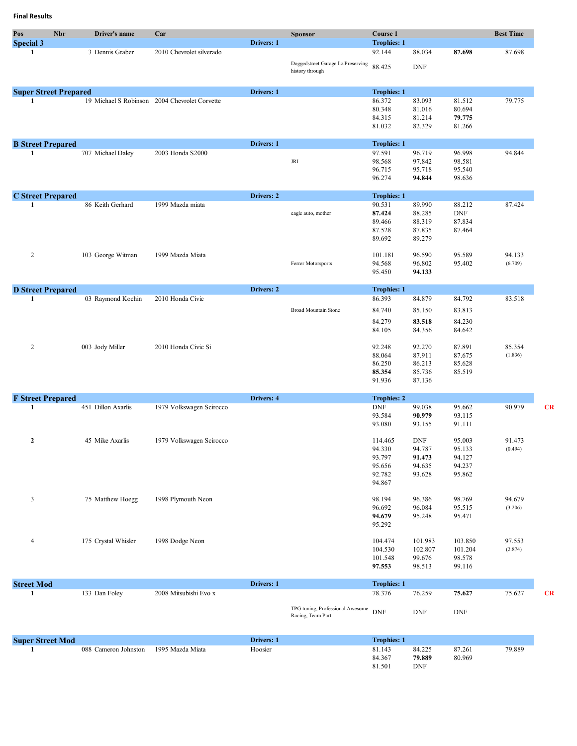| Pos                               | <b>Nbr</b> | Driver's name       | Car                                           |            | <b>Sponsor</b>                                        | Course 1                             |                  |            | <b>Best Time</b> |
|-----------------------------------|------------|---------------------|-----------------------------------------------|------------|-------------------------------------------------------|--------------------------------------|------------------|------------|------------------|
| <b>Special 3</b>                  |            |                     |                                               | Drivers: 1 |                                                       | <b>Trophies: 1</b>                   |                  |            |                  |
| 1                                 |            | 3 Dennis Graber     | 2010 Chevrolet silverado                      |            |                                                       | 92.144                               | 88.034           | 87.698     | 87.698           |
|                                   |            |                     |                                               |            | Doggedstreet Garage llc.Preserving                    | 88.425                               | <b>DNF</b>       |            |                  |
|                                   |            |                     |                                               |            | history through                                       |                                      |                  |            |                  |
| <b>Super Street Prepared</b>      |            |                     |                                               | Drivers: 1 |                                                       | <b>Trophies: 1</b>                   |                  |            |                  |
| 1                                 |            |                     | 19 Michael S Robinson 2004 Chevrolet Corvette |            |                                                       | 86.372                               | 83.093           | 81.512     | 79.775           |
|                                   |            |                     |                                               |            |                                                       | 80.348                               | 81.016           | 80.694     |                  |
|                                   |            |                     |                                               |            |                                                       | 84.315                               | 81.214           | 79.775     |                  |
|                                   |            |                     |                                               |            |                                                       | 81.032                               | 82.329           | 81.266     |                  |
| <b>B</b> Street Prepared          |            |                     |                                               | Drivers: 1 |                                                       | <b>Trophies: 1</b>                   |                  |            |                  |
| 1                                 |            | 707 Michael Daley   | 2003 Honda S2000                              |            |                                                       | 97.591                               | 96.719           | 96.998     | 94.844           |
|                                   |            |                     |                                               |            | <b>JRI</b>                                            | 98.568                               | 97.842           | 98.581     |                  |
|                                   |            |                     |                                               |            |                                                       | 96.715                               | 95.718           | 95.540     |                  |
|                                   |            |                     |                                               |            |                                                       | 96.274                               | 94.844           | 98.636     |                  |
| <b>C</b> Street Prepared          |            |                     |                                               | Drivers: 2 |                                                       | <b>Trophies: 1</b>                   |                  |            |                  |
| 1                                 |            | 86 Keith Gerhard    | 1999 Mazda miata                              |            |                                                       | 90.531                               | 89.990           | 88.212     | 87.424           |
|                                   |            |                     |                                               |            | eagle auto, mother                                    | 87.424                               | 88.285           | <b>DNF</b> |                  |
|                                   |            |                     |                                               |            |                                                       | 89.466                               | 88.319           | 87.834     |                  |
|                                   |            |                     |                                               |            |                                                       | 87.528                               | 87.835           | 87.464     |                  |
|                                   |            |                     |                                               |            |                                                       | 89.692                               | 89.279           |            |                  |
|                                   |            |                     |                                               |            |                                                       |                                      |                  |            |                  |
| $\overline{c}$                    |            | 103 George Witman   | 1999 Mazda Miata                              |            |                                                       | 101.181                              | 96.590           | 95.589     | 94.133           |
|                                   |            |                     |                                               |            | Ferrer Motorsports                                    | 94.568<br>95.450                     | 96.802<br>94.133 | 95.402     | (6.709)          |
|                                   |            |                     |                                               |            |                                                       |                                      |                  |            |                  |
| <b>D</b> Street Prepared          |            |                     |                                               | Drivers: 2 |                                                       | <b>Trophies: 1</b>                   |                  |            |                  |
| 1                                 |            | 03 Raymond Kochin   | 2010 Honda Civic                              |            |                                                       | 86.393                               | 84.879           | 84.792     | 83.518           |
|                                   |            |                     |                                               |            | <b>Broad Mountain Stone</b>                           | 84.740                               | 85.150           | 83.813     |                  |
|                                   |            |                     |                                               |            |                                                       | 84.279                               | 83.518           | 84.230     |                  |
|                                   |            |                     |                                               |            |                                                       | 84.105                               | 84.356           | 84.642     |                  |
| 2                                 |            | 003 Jody Miller     | 2010 Honda Civic Si                           |            |                                                       | 92.248                               | 92.270           | 87.891     | 85.354           |
|                                   |            |                     |                                               |            |                                                       | 88.064                               | 87.911           | 87.675     | (1.836)          |
|                                   |            |                     |                                               |            |                                                       | 86.250                               | 86.213           | 85.628     |                  |
|                                   |            |                     |                                               |            |                                                       | 85.354                               | 85.736           | 85.519     |                  |
|                                   |            |                     |                                               |            |                                                       | 91.936                               | 87.136           |            |                  |
|                                   |            |                     |                                               |            |                                                       |                                      |                  |            |                  |
| <b>F</b> Street Prepared<br>1     |            | 451 Dillon Axarlis  | 1979 Volkswagen Scirocco                      | Drivers: 4 |                                                       | <b>Trophies: 2</b><br>$\mathbf{DNF}$ | 99.038           | 95.662     | 90.979           |
|                                   |            |                     |                                               |            |                                                       | 93.584                               | 90.979           | 93.115     |                  |
|                                   |            |                     |                                               |            |                                                       | 93.080                               | 93.155           | 91.111     |                  |
|                                   |            |                     |                                               |            |                                                       |                                      |                  |            |                  |
| 2                                 |            | 45 Mike Axarlis     | 1979 Volkswagen Scirocco                      |            |                                                       | 114.465                              | <b>DNF</b>       | 95.003     | 91.473           |
|                                   |            |                     |                                               |            |                                                       | 94.330                               | 94.787           | 95.133     | (0.494)          |
|                                   |            |                     |                                               |            |                                                       | 93.797                               | 91.473           | 94.127     |                  |
|                                   |            |                     |                                               |            |                                                       | 95.656                               | 94.635           | 94.237     |                  |
|                                   |            |                     |                                               |            |                                                       | 92.782                               | 93.628           | 95.862     |                  |
|                                   |            |                     |                                               |            |                                                       | 94.867                               |                  |            |                  |
| $\overline{3}$                    |            | 75 Matthew Hoegg    | 1998 Plymouth Neon                            |            |                                                       | 98.194                               | 96.386           | 98.769     | 94.679           |
|                                   |            |                     |                                               |            |                                                       | 96.692                               | 96.084           | 95.515     | (3.206)          |
|                                   |            |                     |                                               |            |                                                       | 94.679                               | 95.248           | 95.471     |                  |
|                                   |            |                     |                                               |            |                                                       | 95.292                               |                  |            |                  |
| $\overline{4}$                    |            | 175 Crystal Whisler | 1998 Dodge Neon                               |            |                                                       | 104.474                              | 101.983          | 103.850    | 97.553           |
|                                   |            |                     |                                               |            |                                                       | 104.530                              | 102.807          | 101.204    | (2.874)          |
|                                   |            |                     |                                               |            |                                                       | 101.548                              | 99.676           | 98.578     |                  |
|                                   |            |                     |                                               |            |                                                       | 97.553                               | 98.513           | 99.116     |                  |
|                                   |            |                     |                                               |            |                                                       |                                      |                  |            |                  |
| <b>Street Mod</b><br>$\mathbf{1}$ |            | 133 Dan Foley       | 2008 Mitsubishi Evo x                         | Drivers: 1 |                                                       | <b>Trophies: 1</b><br>78.376         | 76.259           | 75.627     | 75.627           |
|                                   |            |                     |                                               |            |                                                       |                                      |                  |            |                  |
|                                   |            |                     |                                               |            | TPG tuning, Professional Awesome<br>Racing, Team Part | <b>DNF</b>                           | <b>DNF</b>       | <b>DNF</b> |                  |
|                                   |            |                     |                                               |            |                                                       |                                      |                  |            |                  |
|                                   |            |                     |                                               |            |                                                       |                                      |                  |            |                  |
| <b>Super Street Mod</b>           |            |                     |                                               | Drivers: 1 |                                                       | <b>Trophies: 1</b>                   |                  |            |                  |

**1** 088 Cameron Johnston 1995 Mazda Miata Hoosier 81.143 84.225 87.261 79.889 80.969 84.225<br>**79.889**<br>DNF  $81.501$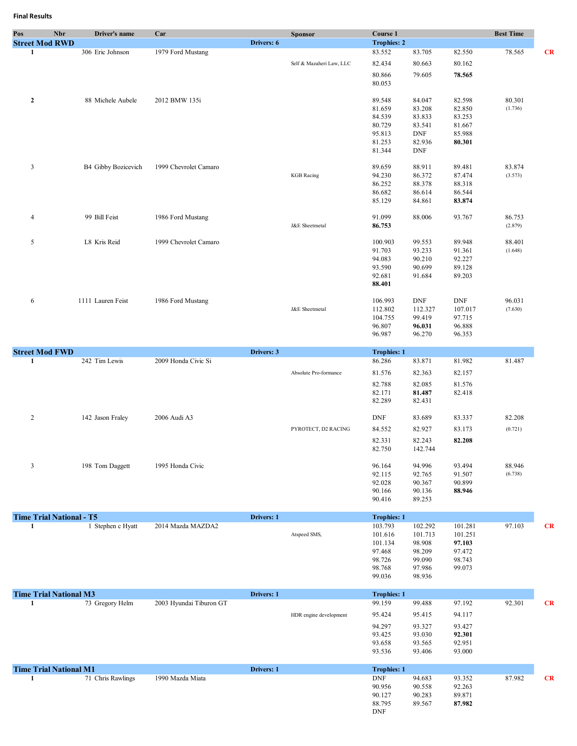| Pos                                | Nbr | Driver's name       | Car                     |            | <b>Sponsor</b>           | Course 1                         |                   |                   | <b>Best Time</b>  |    |
|------------------------------------|-----|---------------------|-------------------------|------------|--------------------------|----------------------------------|-------------------|-------------------|-------------------|----|
| <b>Street Mod RWD</b><br>1         |     | 306 Eric Johnson    | 1979 Ford Mustang       | Drivers: 6 |                          | <b>Trophies: 2</b><br>83.552     | 83.705            | 82.550            | 78.565            | CR |
|                                    |     |                     |                         |            | Self & Mazaheri Law, LLC | 82.434                           | 80.663            | 80.162            |                   |    |
|                                    |     |                     |                         |            |                          |                                  |                   |                   |                   |    |
|                                    |     |                     |                         |            |                          | 80.866<br>80.053                 | 79.605            | 78.565            |                   |    |
|                                    |     | 88 Michele Aubele   | 2012 BMW 135i           |            |                          | 89.548                           | 84.047            | 82.598            | 80.301            |    |
| $\mathbf{2}$                       |     |                     |                         |            |                          | 81.659                           | 83.208            | 82.850            | (1.736)           |    |
|                                    |     |                     |                         |            |                          | 84.539                           | 83.833            | 83.253            |                   |    |
|                                    |     |                     |                         |            |                          | 80.729                           | 83.541            | 81.667            |                   |    |
|                                    |     |                     |                         |            |                          | 95.813                           | <b>DNF</b>        | 85.988            |                   |    |
|                                    |     |                     |                         |            |                          | 81.253                           | 82.936            | 80.301            |                   |    |
|                                    |     |                     |                         |            |                          | 81.344                           | DNF               |                   |                   |    |
| $\mathfrak{Z}$                     |     | B4 Gibby Bozicevich | 1999 Chevrolet Camaro   |            |                          | 89.659                           | 88.911            | 89.481            | 83.874            |    |
|                                    |     |                     |                         |            | <b>KGB</b> Racing        | 94.230                           | 86.372            | 87.474            | (3.573)           |    |
|                                    |     |                     |                         |            |                          | 86.252                           | 88.378            | 88.318            |                   |    |
|                                    |     |                     |                         |            |                          | 86.682<br>85.129                 | 86.614<br>84.861  | 86.544<br>83.874  |                   |    |
|                                    |     |                     |                         |            |                          |                                  |                   |                   |                   |    |
| 4                                  |     | 99 Bill Feist       | 1986 Ford Mustang       |            | J&E Sheetmetal           | 91.099<br>86.753                 | 88.006            | 93.767            | 86.753<br>(2.879) |    |
|                                    |     | L8 Kris Reid        | 1999 Chevrolet Camaro   |            |                          |                                  |                   |                   |                   |    |
| 5                                  |     |                     |                         |            |                          | 100.903<br>91.703                | 99.553<br>93.233  | 89.948<br>91.361  | 88.401<br>(1.648) |    |
|                                    |     |                     |                         |            |                          | 94.083                           | 90.210            | 92.227            |                   |    |
|                                    |     |                     |                         |            |                          | 93.590                           | 90.699            | 89.128            |                   |    |
|                                    |     |                     |                         |            |                          | 92.681                           | 91.684            | 89.203            |                   |    |
|                                    |     |                     |                         |            |                          | 88.401                           |                   |                   |                   |    |
| 6                                  |     | 1111 Lauren Feist   | 1986 Ford Mustang       |            |                          | 106.993                          | <b>DNF</b>        | DNF               | 96.031            |    |
|                                    |     |                     |                         |            | J&E Sheetmetal           | 112.802                          | 112.327           | 107.017           | (7.630)           |    |
|                                    |     |                     |                         |            |                          | 104.755                          | 99.419            | 97.715            |                   |    |
|                                    |     |                     |                         |            |                          | 96.807                           | 96.031            | 96.888            |                   |    |
|                                    |     |                     |                         |            |                          | 96.987                           | 96.270            | 96.353            |                   |    |
| <b>Street Mod FWD</b>              |     |                     |                         | Drivers: 3 |                          | <b>Trophies: 1</b>               |                   |                   |                   |    |
| 1                                  |     | 242 Tim Lewis       | 2009 Honda Civic Si     |            |                          | 86.286                           | 83.871            | 81.982            | 81.487            |    |
|                                    |     |                     |                         |            | Absolute Pro-formance    | 81.576                           | 82.363            | 82.157            |                   |    |
|                                    |     |                     |                         |            |                          | 82.788                           | 82.085            | 81.576            |                   |    |
|                                    |     |                     |                         |            |                          | 82.171                           | 81.487            | 82.418            |                   |    |
|                                    |     |                     |                         |            |                          | 82.289                           | 82.431            |                   |                   |    |
| $\overline{c}$                     |     | 142 Jason Fraley    | 2006 Audi A3            |            |                          | DNF                              | 83.689            | 83.337            | 82.208            |    |
|                                    |     |                     |                         |            | PYROTECT, D2 RACING      | 84.552                           | 82.927            | 83.173            | (0.721)           |    |
|                                    |     |                     |                         |            |                          | 82.331                           | 82.243            | 82.208            |                   |    |
|                                    |     |                     |                         |            |                          | 82.750                           | 142.744           |                   |                   |    |
| 3                                  |     | 198 Tom Daggett     | 1995 Honda Civic        |            |                          | 96.164                           | 94.996            | 93.494            | 88.946            |    |
|                                    |     |                     |                         |            |                          | 92.115                           | 92.765            | 91.507            | (6.738)           |    |
|                                    |     |                     |                         |            |                          | 92.028                           | 90.367            | 90.899            |                   |    |
|                                    |     |                     |                         |            |                          | 90.166                           | 90.136            | 88.946            |                   |    |
|                                    |     |                     |                         |            |                          | 90.416                           | 89.253            |                   |                   |    |
| <b>Time Trial National - T5</b>    |     |                     |                         | Drivers: 1 |                          | <b>Trophies: 1</b>               |                   |                   |                   |    |
| 1                                  |     | 1 Stephen c Hyatt   | 2014 Mazda MAZDA2       |            |                          | 103.793                          | 102.292           | 101.281           | 97.103            | CR |
|                                    |     |                     |                         |            | Atspeed SMS,             | 101.616<br>101.134               | 101.713<br>98.908 | 101.251<br>97.103 |                   |    |
|                                    |     |                     |                         |            |                          | 97.468                           | 98.209            | 97.472            |                   |    |
|                                    |     |                     |                         |            |                          | 98.726                           | 99.090            | 98.743            |                   |    |
|                                    |     |                     |                         |            |                          | 98.768                           | 97.986            | 99.073            |                   |    |
|                                    |     |                     |                         |            |                          | 99.036                           | 98.936            |                   |                   |    |
| <b>Time Trial National M3</b>      |     |                     |                         | Drivers: 1 |                          | <b>Trophies: 1</b>               |                   |                   |                   |    |
| 1                                  |     | 73 Gregory Helm     | 2003 Hyundai Tiburon GT |            |                          | 99.159                           | 99.488            | 97.192            | 92.301            | CR |
|                                    |     |                     |                         |            | HDR engine development   | 95.424                           | 95.415            | 94.117            |                   |    |
|                                    |     |                     |                         |            |                          | 94.297                           | 93.327            | 93.427            |                   |    |
|                                    |     |                     |                         |            |                          | 93.425                           | 93.030            | 92.301            |                   |    |
|                                    |     |                     |                         |            |                          | 93.658<br>93.536                 | 93.565<br>93.406  | 92.951<br>93.000  |                   |    |
|                                    |     |                     |                         |            |                          |                                  |                   |                   |                   |    |
| <b>Time Trial National M1</b><br>1 |     | 71 Chris Rawlings   | 1990 Mazda Miata        | Drivers: 1 |                          | <b>Trophies: 1</b><br><b>DNF</b> | 94.683            | 93.352            | 87.982            | CR |
|                                    |     |                     |                         |            |                          | 90.956                           | 90.558            | 92.263            |                   |    |
|                                    |     |                     |                         |            |                          | 90.127                           | 90.283            | 89.871            |                   |    |
|                                    |     |                     |                         |            |                          | 88.795                           | 89.567            | 87.982            |                   |    |
|                                    |     |                     |                         |            |                          | DNF                              |                   |                   |                   |    |
|                                    |     |                     |                         |            |                          |                                  |                   |                   |                   |    |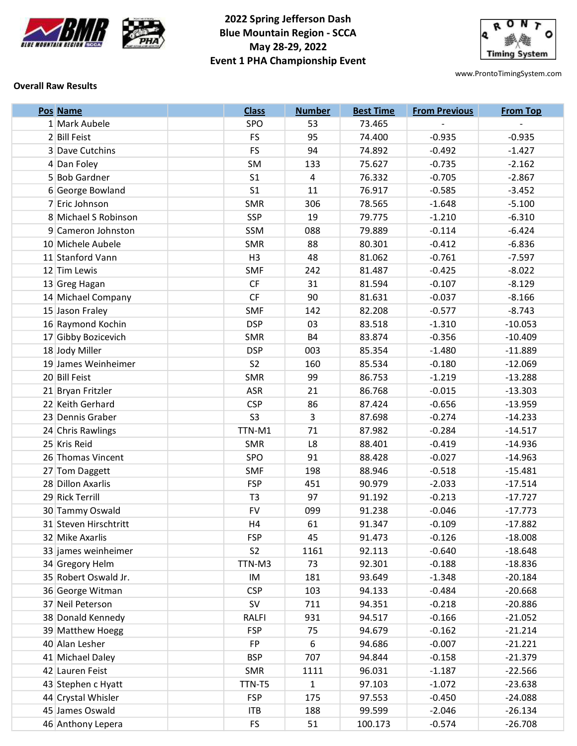



# **2022 Spring Jefferson Dash Blue Mountain Region - SCCA May 28-29, 2022 Event 1 PHA Championship Event**



www.ProntoTimingSystem.com

### **Overall Raw Results**

| Pos Name              | <b>Class</b>   | <b>Number</b>  | <b>Best Time</b> | <b>From Previous</b> | <b>From Top</b> |
|-----------------------|----------------|----------------|------------------|----------------------|-----------------|
| 1 Mark Aubele         | SPO            | 53             | 73.465           |                      |                 |
| 2 Bill Feist          | <b>FS</b>      | 95             | 74.400           | $-0.935$             | $-0.935$        |
| 3 Dave Cutchins       | <b>FS</b>      | 94             | 74.892           | $-0.492$             | $-1.427$        |
| 4 Dan Foley           | SM             | 133            | 75.627           | $-0.735$             | $-2.162$        |
| 5 Bob Gardner         | S <sub>1</sub> | $\overline{4}$ | 76.332           | $-0.705$             | $-2.867$        |
| 6 George Bowland      | S <sub>1</sub> | 11             | 76.917           | $-0.585$             | $-3.452$        |
| 7 Eric Johnson        | <b>SMR</b>     | 306            | 78.565           | $-1.648$             | $-5.100$        |
| 8 Michael S Robinson  | <b>SSP</b>     | 19             | 79.775           | $-1.210$             | $-6.310$        |
| 9 Cameron Johnston    | SSM            | 088            | 79.889           | $-0.114$             | $-6.424$        |
| 10 Michele Aubele     | <b>SMR</b>     | 88             | 80.301           | $-0.412$             | $-6.836$        |
| 11 Stanford Vann      | H <sub>3</sub> | 48             | 81.062           | $-0.761$             | $-7.597$        |
| 12 Tim Lewis          | <b>SMF</b>     | 242            | 81.487           | $-0.425$             | $-8.022$        |
| 13 Greg Hagan         | CF             | 31             | 81.594           | $-0.107$             | $-8.129$        |
| 14 Michael Company    | <b>CF</b>      | 90             | 81.631           | $-0.037$             | $-8.166$        |
| 15 Jason Fraley       | <b>SMF</b>     | 142            | 82.208           | $-0.577$             | $-8.743$        |
| 16 Raymond Kochin     | <b>DSP</b>     | 03             | 83.518           | $-1.310$             | $-10.053$       |
| 17 Gibby Bozicevich   | <b>SMR</b>     | <b>B4</b>      | 83.874           | $-0.356$             | $-10.409$       |
| 18 Jody Miller        | <b>DSP</b>     | 003            | 85.354           | $-1.480$             | $-11.889$       |
| 19 James Weinheimer   | S <sub>2</sub> | 160            | 85.534           | $-0.180$             | $-12.069$       |
| 20 Bill Feist         | SMR            | 99             | 86.753           | $-1.219$             | $-13.288$       |
| 21 Bryan Fritzler     | <b>ASR</b>     | 21             | 86.768           | $-0.015$             | $-13.303$       |
| 22 Keith Gerhard      | <b>CSP</b>     | 86             | 87.424           | $-0.656$             | $-13.959$       |
| 23 Dennis Graber      | S <sub>3</sub> | 3              | 87.698           | $-0.274$             | $-14.233$       |
| 24 Chris Rawlings     | TTN-M1         | 71             | 87.982           | $-0.284$             | $-14.517$       |
| 25 Kris Reid          | <b>SMR</b>     | L8             | 88.401           | $-0.419$             | $-14.936$       |
| 26 Thomas Vincent     | SPO            | 91             | 88.428           | $-0.027$             | $-14.963$       |
| 27 Tom Daggett        | <b>SMF</b>     | 198            | 88.946           | $-0.518$             | $-15.481$       |
| 28 Dillon Axarlis     | <b>FSP</b>     | 451            | 90.979           | $-2.033$             | $-17.514$       |
| 29 Rick Terrill       | T <sub>3</sub> | 97             | 91.192           | $-0.213$             | $-17.727$       |
| 30 Tammy Oswald       | <b>FV</b>      | 099            | 91.238           | $-0.046$             | $-17.773$       |
| 31 Steven Hirschtritt | H <sub>4</sub> | 61             | 91.347           | $-0.109$             | $-17.882$       |
| 32 Mike Axarlis       | <b>FSP</b>     | 45             | 91.473           | $-0.126$             | $-18.008$       |
| 33 james weinheimer   | S <sub>2</sub> | 1161           | 92.113           | $-0.640$             | $-18.648$       |
| 34 Gregory Helm       | TTN-M3         | 73             | 92.301           | $-0.188$             | $-18.836$       |
| 35 Robert Oswald Jr.  | IM             | 181            | 93.649           | $-1.348$             | $-20.184$       |
| 36 George Witman      | <b>CSP</b>     | 103            | 94.133           | $-0.484$             | $-20.668$       |
| 37 Neil Peterson      | <b>SV</b>      | 711            | 94.351           | $-0.218$             | $-20.886$       |
| 38 Donald Kennedy     | RALFI          | 931            | 94.517           | $-0.166$             | $-21.052$       |
| 39 Matthew Hoegg      | <b>FSP</b>     | 75             | 94.679           | $-0.162$             | $-21.214$       |
| 40 Alan Lesher        | FP             | 6              | 94.686           | $-0.007$             | $-21.221$       |
| 41 Michael Daley      | <b>BSP</b>     | 707            | 94.844           | $-0.158$             | $-21.379$       |
| 42 Lauren Feist       | <b>SMR</b>     | 1111           | 96.031           | $-1.187$             | $-22.566$       |
| 43 Stephen c Hyatt    | TTN-T5         | 1              | 97.103           | $-1.072$             | $-23.638$       |
| 44 Crystal Whisler    | <b>FSP</b>     | 175            | 97.553           | $-0.450$             | $-24.088$       |
| 45 James Oswald       | <b>ITB</b>     | 188            | 99.599           | $-2.046$             | $-26.134$       |
| 46 Anthony Lepera     | FS.            | 51             | 100.173          | $-0.574$             | $-26.708$       |